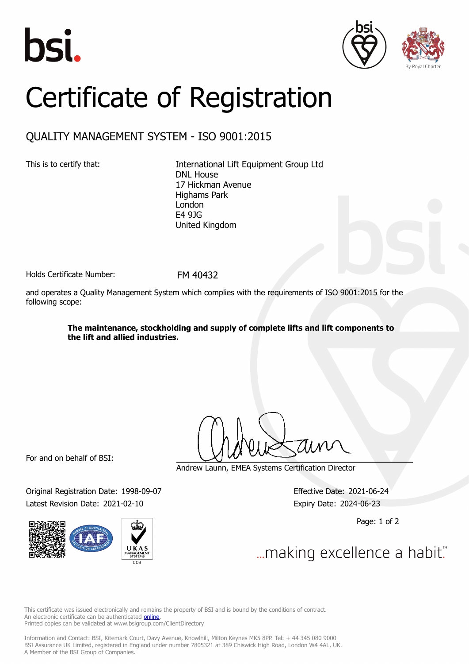





## Certificate of Registration

## QUALITY MANAGEMENT SYSTEM - ISO 9001:2015

This is to certify that: International Lift Equipment Group Ltd DNL House 17 Hickman Avenue Highams Park London E4 9JG United Kingdom

Holds Certificate Number: FM 40432

and operates a Quality Management System which complies with the requirements of ISO 9001:2015 for the following scope:

> **The maintenance, stockholding and supply of complete lifts and lift components to the lift and allied industries.**

For and on behalf of BSI:

Original Registration Date: 1998-09-07 Effective Date: 2021-06-24 Latest Revision Date: 2021-02-10 Expiry Date: 2024-06-23



Andrew Launn, EMEA Systems Certification Director

Page: 1 of 2

... making excellence a habit."

This certificate was issued electronically and remains the property of BSI and is bound by the conditions of contract. An electronic certificate can be authenticated **[online](https://pgplus.bsigroup.com/CertificateValidation/CertificateValidator.aspx?CertificateNumber=FM+40432&ReIssueDate=10%2f02%2f2021&Template=uk)**. Printed copies can be validated at www.bsigroup.com/ClientDirectory

Information and Contact: BSI, Kitemark Court, Davy Avenue, Knowlhill, Milton Keynes MK5 8PP. Tel: + 44 345 080 9000 BSI Assurance UK Limited, registered in England under number 7805321 at 389 Chiswick High Road, London W4 4AL, UK. A Member of the BSI Group of Companies.